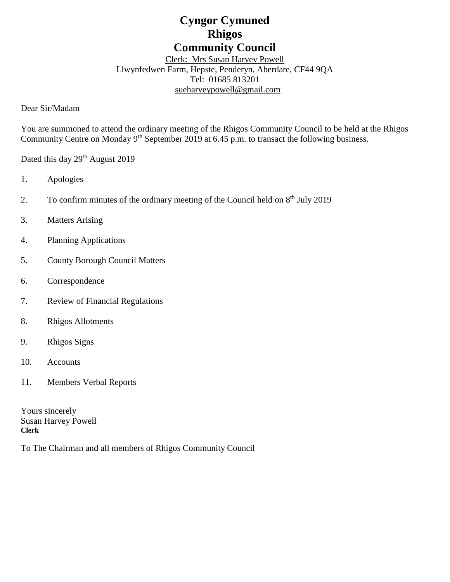# **Cyngor Cymuned Rhigos Community Council**

Clerk: Mrs Susan Harvey Powell Llwynfedwen Farm, Hepste, Penderyn, Aberdare, CF44 9QA Tel: 01685 813201 [sueharveypowell@g](mailto:sharveypowell@comin-infants.co.uk)mail.com

Dear Sir/Madam

You are summoned to attend the ordinary meeting of the Rhigos Community Council to be held at the Rhigos Community Centre on Monday 9<sup>th</sup> September 2019 at 6.45 p.m. to transact the following business.

Dated this day 29<sup>th</sup> August 2019

- 1. Apologies
- 2. To confirm minutes of the ordinary meeting of the Council held on 8<sup>th</sup> July 2019
- 3. Matters Arising
- 4. Planning Applications
- 5. County Borough Council Matters
- 6. Correspondence
- 7. Review of Financial Regulations
- 8. Rhigos Allotments
- 9. Rhigos Signs
- 10. Accounts
- 11. Members Verbal Reports

Yours sincerely Susan Harvey Powell **Clerk**

To The Chairman and all members of Rhigos Community Council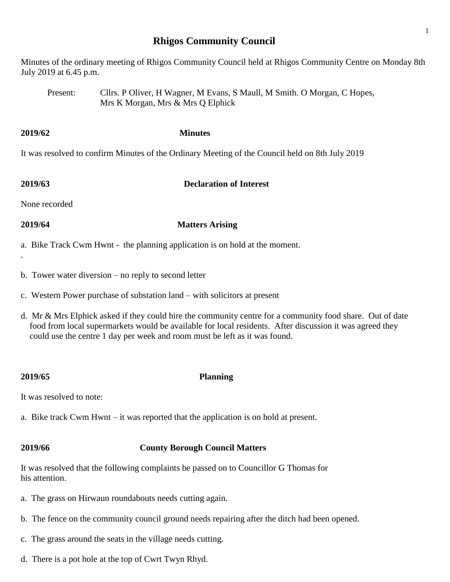# **Rhigos Community Council**

Minutes of the ordinary meeting of Rhigos Community Council held at Rhigos Community Centre on Monday 8th July 2019 at 6.45 p.m.

Present: Cllrs. P Oliver, H Wagner, M Evans, S Maull, M Smith. O Morgan, C Hopes, Mrs K Morgan, Mrs & Mrs Q Elphick

It was resolved to confirm Minutes of the Ordinary Meeting of the Council held on 8th July 2019

### **2019/63 Declaration of Interest**

None recorded

.

### **2019/64 Matters Arising**

- a. Bike Track Cwm Hwnt the planning application is on hold at the moment.
- b. Tower water diversion no reply to second letter

**2019/62 Minutes**

- c. Western Power purchase of substation land with solicitors at present
- d. Mr & Mrs Elphick asked if they could hire the community centre for a community food share. Out of date food from local supermarkets would be available for local residents. After discussion it was agreed they could use the centre 1 day per week and room must be left as it was found.

### **2019/65 Planning**

It was resolved to note:

a. Bike track Cwm Hwnt – it was reported that the application is on hold at present.

# **2019/66 County Borough Council Matters**

It was resolved that the following complaints be passed on to Councillor G Thomas for his attention.

- a. The grass on Hirwaun roundabouts needs cutting again.
- b. The fence on the community council ground needs repairing after the ditch had been opened.
- c. The grass around the seats in the village needs cutting.
- d. There is a pot hole at the top of Cwrt Twyn Rhyd.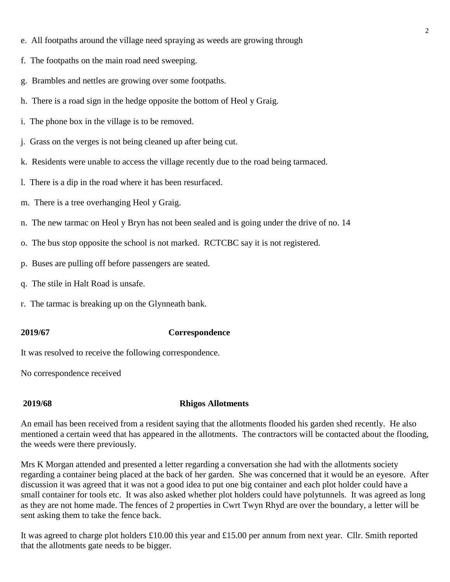- e. All footpaths around the village need spraying as weeds are growing through
- f. The footpaths on the main road need sweeping.
- g. Brambles and nettles are growing over some footpaths.
- h. There is a road sign in the hedge opposite the bottom of Heol y Graig.
- i. The phone box in the village is to be removed.
- j. Grass on the verges is not being cleaned up after being cut.
- k. Residents were unable to access the village recently due to the road being tarmaced.
- l. There is a dip in the road where it has been resurfaced.
- m. There is a tree overhanging Heol y Graig.
- n. The new tarmac on Heol y Bryn has not been sealed and is going under the drive of no. 14
- o. The bus stop opposite the school is not marked. RCTCBC say it is not registered.
- p. Buses are pulling off before passengers are seated.
- q. The stile in Halt Road is unsafe.
- r. The tarmac is breaking up on the Glynneath bank.

### **2019/67 Correspondence**

It was resolved to receive the following correspondence.

No correspondence received

### **2019/68 Rhigos Allotments**

An email has been received from a resident saying that the allotments flooded his garden shed recently. He also mentioned a certain weed that has appeared in the allotments. The contractors will be contacted about the flooding, the weeds were there previously.

Mrs K Morgan attended and presented a letter regarding a conversation she had with the allotments society regarding a container being placed at the back of her garden. She was concerned that it would be an eyesore. After discussion it was agreed that it was not a good idea to put one big container and each plot holder could have a small container for tools etc. It was also asked whether plot holders could have polytunnels. It was agreed as long as they are not home made. The fences of 2 properties in Cwrt Twyn Rhyd are over the boundary, a letter will be sent asking them to take the fence back.

It was agreed to charge plot holders £10.00 this year and £15.00 per annum from next year. Cllr. Smith reported that the allotments gate needs to be bigger.